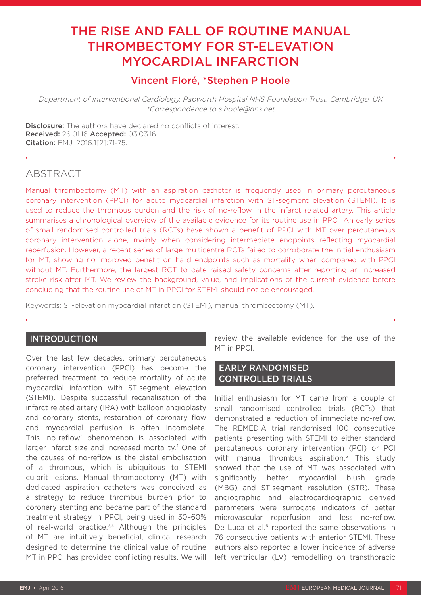# THE RISE AND FALL OF ROUTINE MANUAL THROMBECTOMY FOR ST-ELEVATION MYOCARDIAL INFARCTION

# Vincent Floré, \*Stephen P Hoole

Department of Interventional Cardiology, Papworth Hospital NHS Foundation Trust, Cambridge, UK \*Correspondence to s.hoole@nhs.net

Disclosure: The authors have declared no conflicts of interest. Received: 26.01.16 Accepted: 03.03.16 Citation: EMJ. 2016;1[2]:71-75.

# **ABSTRACT**

Manual thrombectomy (MT) with an aspiration catheter is frequently used in primary percutaneous coronary intervention (PPCI) for acute myocardial infarction with ST-segment elevation (STEMI). It is used to reduce the thrombus burden and the risk of no-reflow in the infarct related artery. This article summarises a chronological overview of the available evidence for its routine use in PPCI. An early series of small randomised controlled trials (RCTs) have shown a benefit of PPCI with MT over percutaneous coronary intervention alone, mainly when considering intermediate endpoints reflecting myocardial reperfusion. However, a recent series of large multicentre RCTs failed to corroborate the initial enthusiasm for MT, showing no improved benefit on hard endpoints such as mortality when compared with PPCI without MT. Furthermore, the largest RCT to date raised safety concerns after reporting an increased stroke risk after MT. We review the background, value, and implications of the current evidence before concluding that the routine use of MT in PPCI for STEMI should not be encouraged.

Keywords: ST-elevation myocardial infarction (STEMI), manual thrombectomy (MT).

## **INTRODUCTION**

Over the last few decades, primary percutaneous coronary intervention (PPCI) has become the preferred treatment to reduce mortality of acute myocardial infarction with ST-segment elevation (STEMI).<sup>1</sup> Despite successful recanalisation of the infarct related artery (IRA) with balloon angioplasty and coronary stents, restoration of coronary flow and myocardial perfusion is often incomplete. This 'no-reflow' phenomenon is associated with larger infarct size and increased mortality.<sup>2</sup> One of the causes of no-reflow is the distal embolisation of a thrombus, which is ubiquitous to STEMI culprit lesions. Manual thrombectomy (MT) with dedicated aspiration catheters was conceived as a strategy to reduce thrombus burden prior to coronary stenting and became part of the standard treatment strategy in PPCI, being used in 30–60% of real-world practice. $3,4$  Although the principles of MT are intuitively beneficial, clinical research designed to determine the clinical value of routine MT in PPCI has provided conflicting results. We will

review the available evidence for the use of the MT in PPCI.

## EARLY RANDOMISED CONTROLLED TRIALS

Initial enthusiasm for MT came from a couple of small randomised controlled trials (RCTs) that demonstrated a reduction of immediate no-reflow. The REMEDIA trial randomised 100 consecutive patients presenting with STEMI to either standard percutaneous coronary intervention (PCI) or PCI with manual thrombus aspiration.<sup>5</sup> This study showed that the use of MT was associated with significantly better myocardial blush grade (MBG) and ST-segment resolution (STR). These angiographic and electrocardiographic derived parameters were surrogate indicators of better microvascular reperfusion and less no-reflow. De Luca et al. $6$  reported the same observations in 76 consecutive patients with anterior STEMI. These authors also reported a lower incidence of adverse left ventricular (LV) remodelling on transthoracic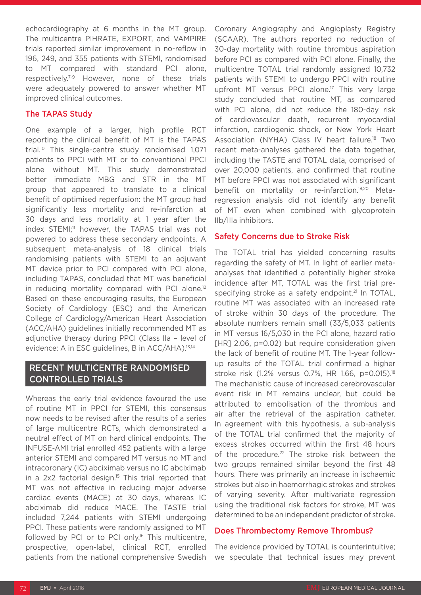echocardiography at 6 months in the MT group. The multicentre PIHRATE, EXPORT, and VAMPIRE trials reported similar improvement in no-reflow in 196, 249, and 355 patients with STEMI, randomised to MT compared with standard PCI alone, respectively.7-9 However, none of these trials were adequately powered to answer whether MT improved clinical outcomes.

#### The TAPAS Study

One example of a larger, high profile RCT reporting the clinical benefit of MT is the TAPAS trial.10 This single-centre study randomised 1,071 patients to PPCI with MT or to conventional PPCI alone without MT. This study demonstrated better immediate MBG and STR in the MT group that appeared to translate to a clinical benefit of optimised reperfusion: the MT group had significantly less mortality and re-infarction at 30 days and less mortality at 1 year after the index STEMI;<sup>11</sup> however, the TAPAS trial was not powered to address these secondary endpoints. A subsequent meta-analysis of 18 clinical trials randomising patients with STEMI to an adjuvant MT device prior to PCI compared with PCI alone, including TAPAS, concluded that MT was beneficial in reducing mortality compared with PCI alone.<sup>12</sup> Based on these encouraging results, the European Society of Cardiology (ESC) and the American College of Cardiology/American Heart Association (ACC/AHA) guidelines initially recommended MT as adjunctive therapy during PPCI (Class IIa – level of evidence: A in ESC guidelines, B in ACC/AHA).<sup>13,14</sup>

# RECENT MULTICENTRE RANDOMISED CONTROLLED TRIALS

Whereas the early trial evidence favoured the use of routine MT in PPCI for STEMI, this consensus now needs to be revised after the results of a series of large multicentre RCTs, which demonstrated a neutral effect of MT on hard clinical endpoints. The INFUSE-AMI trial enrolled 452 patients with a large anterior STEMI and compared MT versus no MT and intracoronary (IC) abciximab versus no IC abciximab in a 2x2 factorial design.<sup>15</sup> This trial reported that MT was not effective in reducing major adverse cardiac events (MACE) at 30 days, whereas IC abciximab did reduce MACE. The TASTE trial included 7,244 patients with STEMI undergoing PPCI. These patients were randomly assigned to MT followed by PCI or to PCI only.16 This multicentre, prospective, open-label, clinical RCT, enrolled patients from the national comprehensive Swedish

Coronary Angiography and Angioplasty Registry (SCAAR). The authors reported no reduction of 30-day mortality with routine thrombus aspiration before PCI as compared with PCI alone. Finally, the multicentre TOTAL trial randomly assigned 10,732 patients with STEMI to undergo PPCI with routine upfront MT versus PPCI alone.<sup>17</sup> This very large study concluded that routine MT, as compared with PCI alone, did not reduce the 180-day risk of cardiovascular death, recurrent myocardial infarction, cardiogenic shock, or New York Heart Association (NYHA) Class IV heart failure.<sup>18</sup> Two recent meta-analyses gathered the data together, including the TASTE and TOTAL data, comprised of over 20,000 patients, and confirmed that routine MT before PPCI was not associated with significant benefit on mortality or re-infarction.19,20 Metaregression analysis did not identify any benefit of MT even when combined with glycoprotein IIb/IIIa inhibitors.

#### Safety Concerns due to Stroke Risk

The TOTAL trial has yielded concerning results regarding the safety of MT. In light of earlier metaanalyses that identified a potentially higher stroke incidence after MT, TOTAL was the first trial prespecifying stroke as a safety endpoint.<sup>21</sup> In TOTAL, routine MT was associated with an increased rate of stroke within 30 days of the procedure. The absolute numbers remain small (33/5,033 patients in MT versus 16/5,030 in the PCI alone, hazard ratio [HR] 2.06, p=0.02) but require consideration given the lack of benefit of routine MT. The 1-year followup results of the TOTAL trial confirmed a higher stroke risk (1.2% versus 0.7%, HR 1.66, p=0.015).<sup>18</sup> The mechanistic cause of increased cerebrovascular event risk in MT remains unclear, but could be attributed to embolisation of the thrombus and air after the retrieval of the aspiration catheter. In agreement with this hypothesis, a sub-analysis of the TOTAL trial confirmed that the majority of excess strokes occurred within the first 48 hours of the procedure.<sup>22</sup> The stroke risk between the two groups remained similar beyond the first 48 hours. There was primarily an increase in ischaemic strokes but also in haemorrhagic strokes and strokes of varying severity. After multivariate regression using the traditional risk factors for stroke, MT was determined to be an independent predictor of stroke.

#### Does Thrombectomy Remove Thrombus?

The evidence provided by TOTAL is counterintuitive; we speculate that technical issues may prevent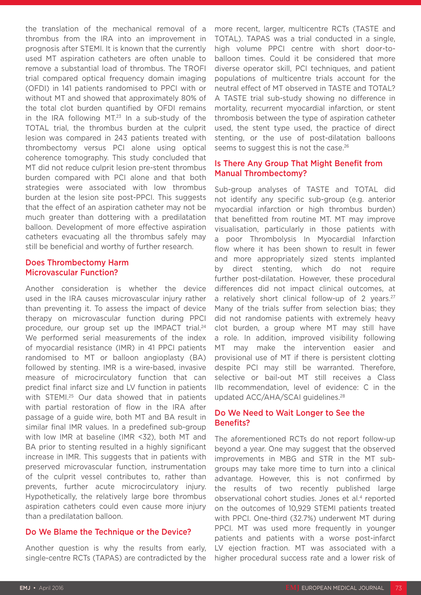the translation of the mechanical removal of a thrombus from the IRA into an improvement in prognosis after STEMI. It is known that the currently used MT aspiration catheters are often unable to remove a substantial load of thrombus. The TROFI trial compared optical frequency domain imaging (OFDI) in 141 patients randomised to PPCI with or without MT and showed that approximately 80% of the total clot burden quantified by OFDI remains in the IRA following  $MT<sup>23</sup>$  In a sub-study of the TOTAL trial, the thrombus burden at the culprit lesion was compared in 243 patients treated with thrombectomy versus PCI alone using optical coherence tomography. This study concluded that MT did not reduce culprit lesion pre-stent thrombus burden compared with PCI alone and that both strategies were associated with low thrombus burden at the lesion site post-PPCI. This suggests that the effect of an aspiration catheter may not be much greater than dottering with a predilatation balloon. Development of more effective aspiration catheters evacuating all the thrombus safely may still be beneficial and worthy of further research.

#### Does Thrombectomy Harm Microvascular Function?

Another consideration is whether the device used in the IRA causes microvascular injury rather than preventing it. To assess the impact of device therapy on microvascular function during PPCI procedure, our group set up the IMPACT trial.<sup>24</sup> We performed serial measurements of the index of myocardial resistance (IMR) in 41 PPCI patients randomised to MT or balloon angioplasty (BA) followed by stenting. IMR is a wire-based, invasive measure of microcirculatory function that can predict final infarct size and LV function in patients with STEMI.<sup>25</sup> Our data showed that in patients with partial restoration of flow in the IRA after passage of a guide wire, both MT and BA result in similar final IMR values. In a predefined sub-group with low IMR at baseline (IMR <32), both MT and BA prior to stenting resulted in a highly significant increase in IMR. This suggests that in patients with preserved microvascular function, instrumentation of the culprit vessel contributes to, rather than prevents, further acute microcirculatory injury. Hypothetically, the relatively large bore thrombus aspiration catheters could even cause more injury than a predilatation balloon.

## Do We Blame the Technique or the Device?

Another question is why the results from early, single-centre RCTs (TAPAS) are contradicted by the

more recent, larger, multicentre RCTs (TASTE and TOTAL). TAPAS was a trial conducted in a single, high volume PPCI centre with short door-toballoon times. Could it be considered that more diverse operator skill, PCI techniques, and patient populations of multicentre trials account for the neutral effect of MT observed in TASTE and TOTAL? A TASTE trial sub-study showing no difference in mortality, recurrent myocardial infarction, or stent thrombosis between the type of aspiration catheter used, the stent type used, the practice of direct stenting, or the use of post-dilatation balloons seems to suggest this is not the case.<sup>26</sup>

### Is There Any Group That Might Benefit from Manual Thrombectomy?

Sub-group analyses of TASTE and TOTAL did not identify any specific sub-group (e.g. anterior myocardial infarction or high thrombus burden) that benefitted from routine MT. MT may improve visualisation, particularly in those patients with a poor Thrombolysis In Myocardial Infarction flow where it has been shown to result in fewer and more appropriately sized stents implanted by direct stenting, which do not require further post-dilatation. However, these procedural differences did not impact clinical outcomes, at a relatively short clinical follow-up of 2 years.<sup>27</sup> Many of the trials suffer from selection bias; they did not randomise patients with extremely heavy clot burden, a group where MT may still have a role. In addition, improved visibility following MT may make the intervention easier and provisional use of MT if there is persistent clotting despite PCI may still be warranted. Therefore, selective or bail-out MT still receives a Class IIb recommendation, level of evidence: C in the updated ACC/AHA/SCAI guidelines.28

## Do We Need to Wait Longer to See the Benefits?

The aforementioned RCTs do not report follow-up beyond a year. One may suggest that the observed improvements in MBG and STR in the MT subgroups may take more time to turn into a clinical advantage. However, this is not confirmed by the results of two recently published large observational cohort studies. Jones et al.<sup>4</sup> reported on the outcomes of 10,929 STEMI patients treated with PPCI. One-third (32.7%) underwent MT during PPCI. MT was used more frequently in younger patients and patients with a worse post-infarct LV ejection fraction. MT was associated with a higher procedural success rate and a lower risk of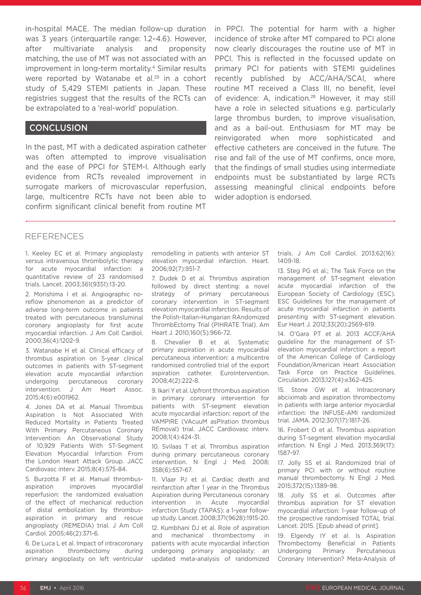in-hospital MACE. The median follow-up duration was 3 years (interquartile range: 1.2-4.6). However, after multivariate analysis and propensity matching, the use of MT was not associated with an improvement in long-term mortality.4 Similar results were reported by Watanabe et al.<sup>29</sup> in a cohort study of 5,429 STEMI patients in Japan. These registries suggest that the results of the RCTs can be extrapolated to a 'real-world' population.

#### **CONCLUSION**

In the past, MT with a dedicated aspiration catheter was often attempted to improve visualisation and the ease of PPCI for STEM-I. Although early evidence from RCTs revealed improvement in surrogate markers of microvascular reperfusion, large, multicentre RCTs have not been able to confirm significant clinical benefit from routine MT

in PPCI. The potential for harm with a higher incidence of stroke after MT compared to PCI alone now clearly discourages the routine use of MT in PPCI. This is reflected in the focussed update on primary PCI for patients with STEMI guidelines recently published by ACC/AHA/SCAI, where routine MT received a Class III, no benefit, level of evidence: A, indication.<sup>28</sup> However, it may still have a role in selected situations e.g. particularly large thrombus burden, to improve visualisation, and as a bail-out. Enthusiasm for MT may be reinvigorated when more sophisticated and effective catheters are conceived in the future. The rise and fall of the use of MT confirms, once more, that the findings of small studies using intermediate endpoints must be substantiated by large RCTs assessing meaningful clinical endpoints before wider adoption is endorsed.

#### **REFERENCES**

1. Keeley EC et al. Primary angioplasty versus intravenous thrombolytic therapy for acute myocardial infarction: a quantitative review of 23 randomised trials. Lancet. 2003;361(9351):13-20.

2. Morishima I et al. Angiographic noreflow phenomenon as a predictor of adverse long-term outcome in patients treated with percutaneous transluminal coronary angioplasty for first acute myocardial infarction. J Am Coll Cardiol. 2000;36(4):1202-9.

3. Watanabe H et al. Clinical efficacy of thrombus aspiration on 5-year clinical outcomes in patients with ST-segment elevation acute myocardial infarction undergoing percutaneous coronary intervention. J Am Heart Assoc. 2015;4(6):e001962.

4. Jones DA et al. Manual Thrombus Aspiration Is Not Associated With Reduced Mortality in Patients Treated With Primary Percutaneous Coronary Intervention: An Observational Study of 10,929 Patients With ST-Segment Elevation Myocardial Infarction From the London Heart Attack Group. JACC Cardiovasc interv. 2015;8(4):575-84.

5. Burzotta F et al. Manual thrombusaspiration improves myocardial reperfusion: the randomized evaluation of the effect of mechanical reduction of distal embolization by thrombusaspiration in primary and rescue angioplasty (REMEDIA) trial. J Am Coll Cardiol. 2005;46(2):371-6.

6. De Luca L et al. Impact of intracoronary aspiration thrombectomy during primary angioplasty on left ventricular remodelling in patients with anterior ST elevation myocardial infarction. Heart. 2006;92(7):951-7.

7. Dudek D et al. Thrombus aspiration followed by direct stenting: a novel strategy of primary percutaneous coronary intervention in ST-segment elevation myocardial infarction. Results of the Polish-Italian-Hungarian RAndomized ThrombEctomy Trial (PIHRATE Trial). Am Heart J. 2010;160(5):966-72.

8. Chevalier B et al. Systematic primary aspiration in acute myocardial percutaneous intervention: a multicentre randomised controlled trial of the export aspiration catheter. EuroIntervention. 2008;4(2):222-8.

9. Ikari Y et al. Upfront thrombus aspiration in primary coronary intervention for patients with ST-segment elevation acute myocardial infarction: report of the VAMPIRE (VAcuuM asPIration thrombus REmoval) trial. JACC Cardiovasc interv. 2008;1(4):424-31.

10. Svilaas T et al. Thrombus aspiration during primary percutaneous coronary intervention. N Engl J Med. 2008; 358(6):557-67.

11. Vlaar PJ et al. Cardiac death and reinfarction after 1 year in the Thrombus Aspiration during Percutaneous coronary intervention in Acute myocardial infarction Study (TAPAS): a 1-year followup study. Lancet. 2008;371(9628):1915-20.

12. Kumbhani DJ et al. Role of aspiration and mechanical thrombectomy in patients with acute myocardial infarction undergoing primary angioplasty: an updated meta-analysis of randomized trials. J Am Coll Cardiol. 2013;62(16): 1409-18.

13. Steg PG et al.; The Task Force on the management of ST-segment elevation acute myocardial infarction of the European Society of Cardiology (ESC). ESC Guidelines for the management of acute myocardial infarction in patients presenting with ST-segment elevation. Eur Heart J. 2012;33(20):2569-619.

14. O'Gara PT et al. 2013 ACCF/AHA guideline for the management of STelevation myocardial infarction: a report of the American College of Cardiology Foundation/American Heart Association Task Force on Practice Guidelines. Circulation. 2013;127(4):e362-425.

15. Stone GW et al. Intracoronary abciximab and aspiration thrombectomy in patients with large anterior myocardial infarction: the INFUSE-AMI randomized trial. JAMA. 2012;307(17):1817-26.

16. Frobert O et al. Thrombus aspiration during ST-segment elevation myocardial infarction. N Engl J Med. 2013;369(17): 1587-97.

17. Jolly SS et al. Randomized trial of primary PCI with or without routine manual thrombectomy. N Engl J Med. 2015;372(15):1389-98.

18. Jolly SS et al. Outcomes after thrombus aspiration for ST elevation myocardial infarction: 1-year follow-up of the prospective randomised TOTAL trial. Lancet. 2015. [Epub ahead of print].

19. Elgendy IY et al. Is Aspiration Thrombectomy Beneficial in Patients Undergoing Primary Percutaneous Coronary Intervention? Meta-Analysis of